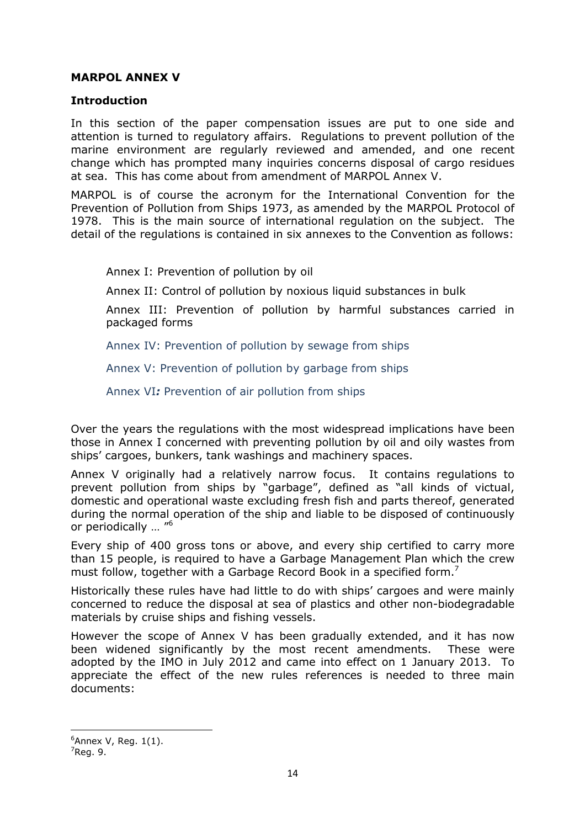## MARPOL ANNEX V

## Introduction

In this section of the paper compensation issues are put to one side and attention is turned to regulatory affairs. Regulations to prevent pollution of the marine environment are regularly reviewed and amended, and one recent change which has prompted many inquiries concerns disposal of cargo residues at sea. This has come about from amendment of MARPOL Annex V.

MARPOL is of course the acronym for the International Convention for the Prevention of Pollution from Ships 1973, as amended by the MARPOL Protocol of 1978. This is the main source of international regulation on the subject. The detail of the regulations is contained in six annexes to the Convention as follows:

Annex I: Prevention of pollution by oil

Annex II: Control of pollution by noxious liquid substances in bulk

Annex III: Prevention of pollution by harmful substances carried in packaged forms

Annex IV: Prevention of pollution by sewage from ships

Annex V: Prevention of pollution by garbage from ships

Annex VI: Prevention of air pollution from ships

Over the years the regulations with the most widespread implications have been those in Annex I concerned with preventing pollution by oil and oily wastes from ships' cargoes, bunkers, tank washings and machinery spaces.

Annex V originally had a relatively narrow focus. It contains regulations to prevent pollution from ships by "garbage", defined as "all kinds of victual, domestic and operational waste excluding fresh fish and parts thereof, generated during the normal operation of the ship and liable to be disposed of continuously or periodically ... "<sup>6</sup>

Every ship of 400 gross tons or above, and every ship certified to carry more than 15 people, is required to have a Garbage Management Plan which the crew must follow, together with a Garbage Record Book in a specified form.<sup>7</sup>

Historically these rules have had little to do with ships' cargoes and were mainly concerned to reduce the disposal at sea of plastics and other non-biodegradable materials by cruise ships and fishing vessels.

However the scope of Annex V has been gradually extended, and it has now been widened significantly by the most recent amendments. These were adopted by the IMO in July 2012 and came into effect on 1 January 2013. To appreciate the effect of the new rules references is needed to three main documents:

 $6$ Annex V, Reg. 1(1).

 $7$ Reg. 9.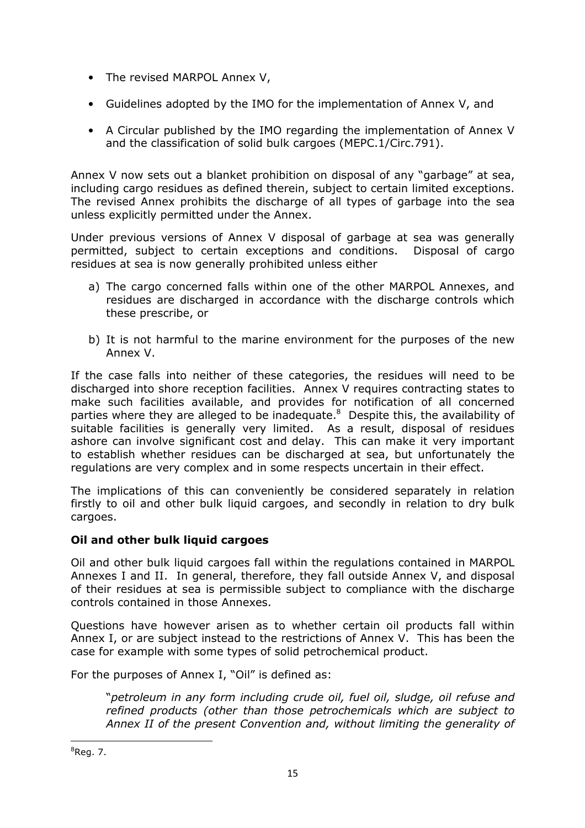- The revised MARPOL Annex V,
- Guidelines adopted by the IMO for the implementation of Annex V, and
- A Circular published by the IMO regarding the implementation of Annex V and the classification of solid bulk cargoes (MEPC.1/Circ.791).

Annex V now sets out a blanket prohibition on disposal of any "garbage" at sea, including cargo residues as defined therein, subject to certain limited exceptions. The revised Annex prohibits the discharge of all types of garbage into the sea unless explicitly permitted under the Annex.

Under previous versions of Annex V disposal of garbage at sea was generally permitted, subject to certain exceptions and conditions. Disposal of cargo residues at sea is now generally prohibited unless either

- a) The cargo concerned falls within one of the other MARPOL Annexes, and residues are discharged in accordance with the discharge controls which these prescribe, or
- b) It is not harmful to the marine environment for the purposes of the new Annex V.

If the case falls into neither of these categories, the residues will need to be discharged into shore reception facilities. Annex V requires contracting states to make such facilities available, and provides for notification of all concerned parties where they are alleged to be inadequate.<sup>8</sup> Despite this, the availability of suitable facilities is generally very limited. As a result, disposal of residues ashore can involve significant cost and delay. This can make it very important to establish whether residues can be discharged at sea, but unfortunately the regulations are very complex and in some respects uncertain in their effect.

The implications of this can conveniently be considered separately in relation firstly to oil and other bulk liquid cargoes, and secondly in relation to dry bulk cargoes.

## Oil and other bulk liquid cargoes

Oil and other bulk liquid cargoes fall within the regulations contained in MARPOL Annexes I and II. In general, therefore, they fall outside Annex V, and disposal of their residues at sea is permissible subject to compliance with the discharge controls contained in those Annexes.

Questions have however arisen as to whether certain oil products fall within Annex I, or are subject instead to the restrictions of Annex V. This has been the case for example with some types of solid petrochemical product.

For the purposes of Annex I, "Oil" is defined as:

"petroleum in any form including crude oil, fuel oil, sludge, oil refuse and refined products (other than those petrochemicals which are subject to Annex II of the present Convention and, without limiting the generality of

 $8$ Reg. 7.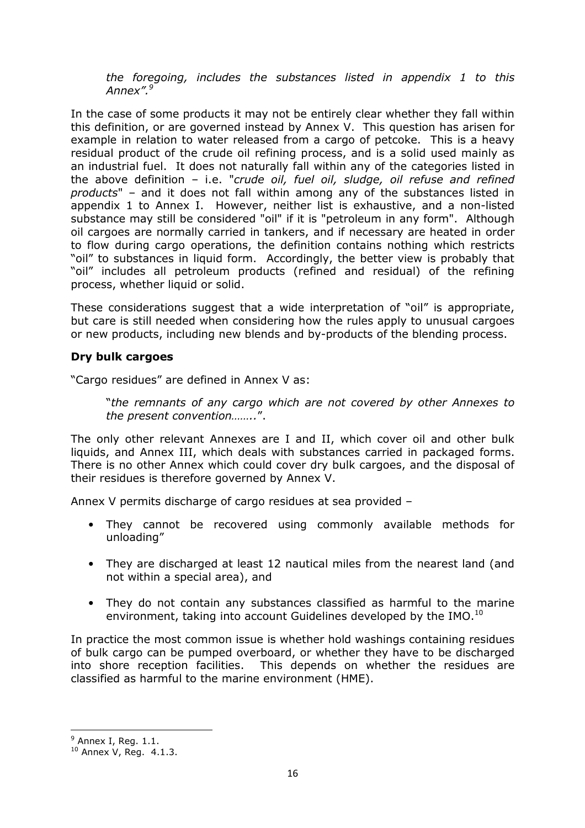the foregoing, includes the substances listed in appendix 1 to this Annex".<sup>9</sup>

In the case of some products it may not be entirely clear whether they fall within this definition, or are governed instead by Annex V. This question has arisen for example in relation to water released from a cargo of petcoke. This is a heavy residual product of the crude oil refining process, and is a solid used mainly as an industrial fuel. It does not naturally fall within any of the categories listed in the above definition  $-$  i.e. "crude oil, fuel oil, sludge, oil refuse and refined products" – and it does not fall within among any of the substances listed in appendix 1 to Annex I. However, neither list is exhaustive, and a non-listed substance may still be considered "oil" if it is "petroleum in any form". Although oil cargoes are normally carried in tankers, and if necessary are heated in order to flow during cargo operations, the definition contains nothing which restricts "oil" to substances in liquid form. Accordingly, the better view is probably that "oil" includes all petroleum products (refined and residual) of the refining process, whether liquid or solid.

These considerations suggest that a wide interpretation of "oil" is appropriate, but care is still needed when considering how the rules apply to unusual cargoes or new products, including new blends and by-products of the blending process.

## Dry bulk cargoes

"Cargo residues" are defined in Annex V as:

"the remnants of any cargo which are not covered by other Annexes to the present convention……..".

The only other relevant Annexes are I and II, which cover oil and other bulk liquids, and Annex III, which deals with substances carried in packaged forms. There is no other Annex which could cover dry bulk cargoes, and the disposal of their residues is therefore governed by Annex V.

Annex V permits discharge of cargo residues at sea provided –

- They cannot be recovered using commonly available methods for unloading"
- They are discharged at least 12 nautical miles from the nearest land (and not within a special area), and
- They do not contain any substances classified as harmful to the marine environment, taking into account Guidelines developed by the IMO.<sup>10</sup>

In practice the most common issue is whether hold washings containing residues of bulk cargo can be pumped overboard, or whether they have to be discharged into shore reception facilities. This depends on whether the residues are classified as harmful to the marine environment (HME).

 $^9$  Annex I, Reg. 1.1.

 $10$  Annex V, Reg. 4.1.3.